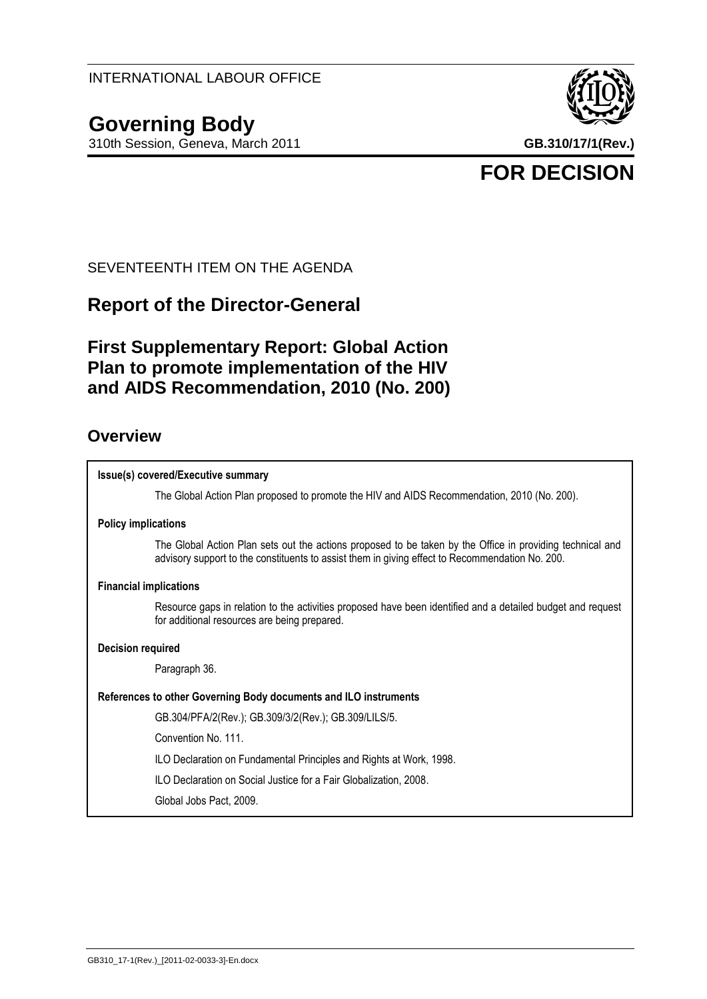# **Governing Body**

310th Session, Geneva, March 2011 **GB.310/17/1(Rev.)**



# **FOR DECISION**

SEVENTEENTH ITEM ON THE AGENDA

# **Report of the Director-General**

# **First Supplementary Report: Global Action Plan to promote implementation of the HIV and AIDS Recommendation, 2010 (No. 200)**

## **Overview**

# **Issue(s) covered/Executive summary** The Global Action Plan proposed to promote the HIV and AIDS Recommendation, 2010 (No. 200). **Policy implications** The Global Action Plan sets out the actions proposed to be taken by the Office in providing technical and advisory support to the constituents to assist them in giving effect to Recommendation No. 200. **Financial implications** Resource gaps in relation to the activities proposed have been identified and a detailed budget and request for additional resources are being prepared. **Decision required** Paragraph 36. **References to other Governing Body documents and ILO instruments** GB.304/PFA/2(Rev.); GB.309/3/2(Rev.); GB.309/LILS/5. Convention No. 111. ILO Declaration on Fundamental Principles and Rights at Work, 1998. ILO Declaration on Social Justice for a Fair Globalization, 2008. Global Jobs Pact, 2009.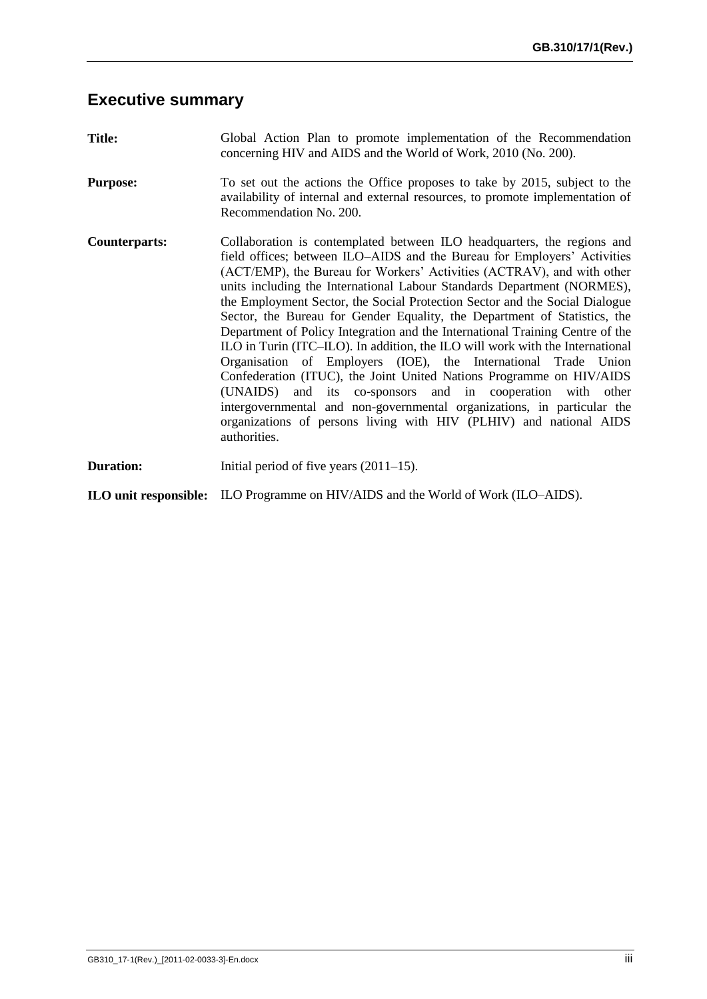# **Executive summary**

| <b>Title:</b>        | Global Action Plan to promote implementation of the Recommendation<br>concerning HIV and AIDS and the World of Work, 2010 (No. 200).                                                                                                                                                                                                                                                                                                                                                                                                                                                                                                                                                                                                                                                                                                                                                                                                                                                                            |
|----------------------|-----------------------------------------------------------------------------------------------------------------------------------------------------------------------------------------------------------------------------------------------------------------------------------------------------------------------------------------------------------------------------------------------------------------------------------------------------------------------------------------------------------------------------------------------------------------------------------------------------------------------------------------------------------------------------------------------------------------------------------------------------------------------------------------------------------------------------------------------------------------------------------------------------------------------------------------------------------------------------------------------------------------|
| <b>Purpose:</b>      | To set out the actions the Office proposes to take by 2015, subject to the<br>availability of internal and external resources, to promote implementation of<br>Recommendation No. 200.                                                                                                                                                                                                                                                                                                                                                                                                                                                                                                                                                                                                                                                                                                                                                                                                                          |
| <b>Counterparts:</b> | Collaboration is contemplated between ILO headquarters, the regions and<br>field offices; between ILO-AIDS and the Bureau for Employers' Activities<br>(ACT/EMP), the Bureau for Workers' Activities (ACTRAV), and with other<br>units including the International Labour Standards Department (NORMES),<br>the Employment Sector, the Social Protection Sector and the Social Dialogue<br>Sector, the Bureau for Gender Equality, the Department of Statistics, the<br>Department of Policy Integration and the International Training Centre of the<br>ILO in Turin (ITC–ILO). In addition, the ILO will work with the International<br>Organisation of Employers (IOE), the International Trade Union<br>Confederation (ITUC), the Joint United Nations Programme on HIV/AIDS<br>(UNAIDS) and its co-sponsors and in cooperation with other<br>intergovernmental and non-governmental organizations, in particular the<br>organizations of persons living with HIV (PLHIV) and national AIDS<br>authorities. |
| <b>Duration:</b>     | Initial period of five years $(2011-15)$ .                                                                                                                                                                                                                                                                                                                                                                                                                                                                                                                                                                                                                                                                                                                                                                                                                                                                                                                                                                      |
|                      | <b>ILO unit responsible:</b> ILO Programme on HIV/AIDS and the World of Work (ILO–AIDS).                                                                                                                                                                                                                                                                                                                                                                                                                                                                                                                                                                                                                                                                                                                                                                                                                                                                                                                        |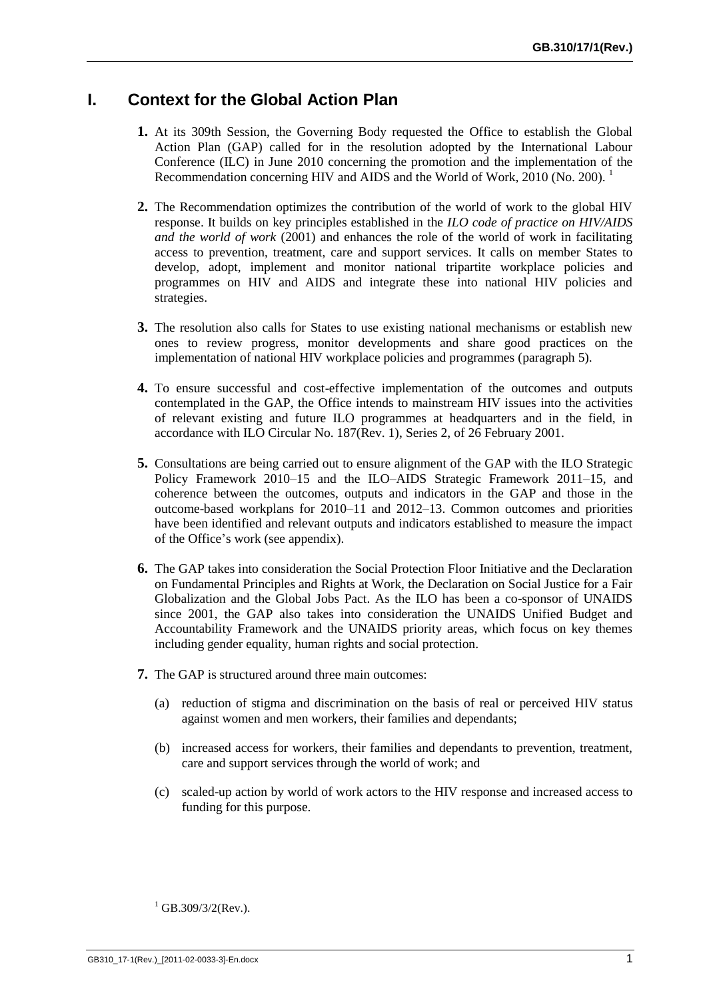## **I. Context for the Global Action Plan**

- **1.** At its 309th Session, the Governing Body requested the Office to establish the Global Action Plan (GAP) called for in the resolution adopted by the International Labour Conference (ILC) in June 2010 concerning the promotion and the implementation of the Recommendation concerning HIV and AIDS and the World of Work, 2010 (No. 200).
- **2.** The Recommendation optimizes the contribution of the world of work to the global HIV response. It builds on key principles established in the *ILO code of practice on HIV/AIDS and the world of work* (2001) and enhances the role of the world of work in facilitating access to prevention, treatment, care and support services. It calls on member States to develop, adopt, implement and monitor national tripartite workplace policies and programmes on HIV and AIDS and integrate these into national HIV policies and strategies.
- **3.** The resolution also calls for States to use existing national mechanisms or establish new ones to review progress, monitor developments and share good practices on the implementation of national HIV workplace policies and programmes (paragraph 5).
- **4.** To ensure successful and cost-effective implementation of the outcomes and outputs contemplated in the GAP, the Office intends to mainstream HIV issues into the activities of relevant existing and future ILO programmes at headquarters and in the field, in accordance with ILO Circular No. 187(Rev. 1), Series 2, of 26 February 2001.
- **5.** Consultations are being carried out to ensure alignment of the GAP with the ILO Strategic Policy Framework 2010–15 and the ILO–AIDS Strategic Framework 2011–15, and coherence between the outcomes, outputs and indicators in the GAP and those in the outcome-based workplans for 2010–11 and 2012–13. Common outcomes and priorities have been identified and relevant outputs and indicators established to measure the impact of the Office's work (see appendix).
- **6.** The GAP takes into consideration the Social Protection Floor Initiative and the Declaration on Fundamental Principles and Rights at Work, the Declaration on Social Justice for a Fair Globalization and the Global Jobs Pact. As the ILO has been a co-sponsor of UNAIDS since 2001, the GAP also takes into consideration the UNAIDS Unified Budget and Accountability Framework and the UNAIDS priority areas, which focus on key themes including gender equality, human rights and social protection.
- **7.** The GAP is structured around three main outcomes:
	- (a) reduction of stigma and discrimination on the basis of real or perceived HIV status against women and men workers, their families and dependants;
	- (b) increased access for workers, their families and dependants to prevention, treatment, care and support services through the world of work; and
	- (c) scaled-up action by world of work actors to the HIV response and increased access to funding for this purpose.

 $1$  GB.309/3/2(Rev.).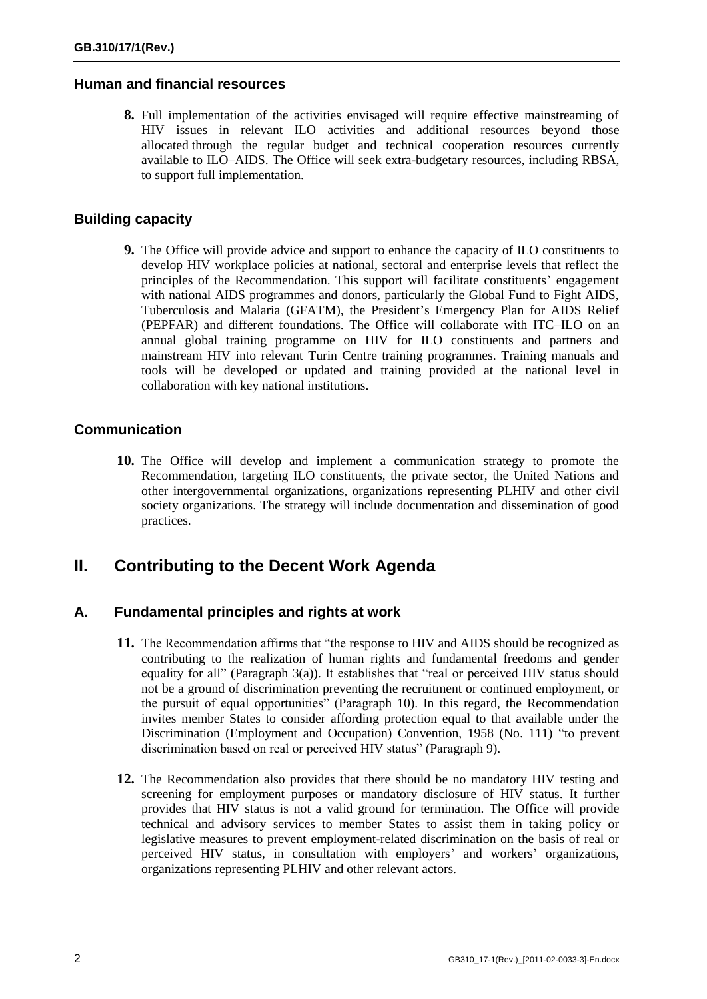#### **Human and financial resources**

**8.** Full implementation of the activities envisaged will require effective mainstreaming of HIV issues in relevant ILO activities and additional resources beyond those allocated through the regular budget and technical cooperation resources currently available to ILO–AIDS. The Office will seek extra-budgetary resources, including RBSA, to support full implementation.

#### **Building capacity**

**9.** The Office will provide advice and support to enhance the capacity of ILO constituents to develop HIV workplace policies at national, sectoral and enterprise levels that reflect the principles of the Recommendation. This support will facilitate constituents' engagement with national AIDS programmes and donors, particularly the Global Fund to Fight AIDS, Tuberculosis and Malaria (GFATM), the President's Emergency Plan for AIDS Relief (PEPFAR) and different foundations. The Office will collaborate with ITC–ILO on an annual global training programme on HIV for ILO constituents and partners and mainstream HIV into relevant Turin Centre training programmes. Training manuals and tools will be developed or updated and training provided at the national level in collaboration with key national institutions.

### **Communication**

**10.** The Office will develop and implement a communication strategy to promote the Recommendation, targeting ILO constituents, the private sector, the United Nations and other intergovernmental organizations, organizations representing PLHIV and other civil society organizations. The strategy will include documentation and dissemination of good practices.

## **II. Contributing to the Decent Work Agenda**

### **A. Fundamental principles and rights at work**

- **11.** The Recommendation affirms that "the response to HIV and AIDS should be recognized as contributing to the realization of human rights and fundamental freedoms and gender equality for all" (Paragraph 3(a)). It establishes that "real or perceived HIV status should not be a ground of discrimination preventing the recruitment or continued employment, or the pursuit of equal opportunities" (Paragraph 10). In this regard, the Recommendation invites member States to consider affording protection equal to that available under the Discrimination (Employment and Occupation) Convention, 1958 (No. 111) "to prevent discrimination based on real or perceived HIV status" (Paragraph 9).
- **12.** The Recommendation also provides that there should be no mandatory HIV testing and screening for employment purposes or mandatory disclosure of HIV status. It further provides that HIV status is not a valid ground for termination. The Office will provide technical and advisory services to member States to assist them in taking policy or legislative measures to prevent employment-related discrimination on the basis of real or perceived HIV status, in consultation with employers' and workers' organizations, organizations representing PLHIV and other relevant actors.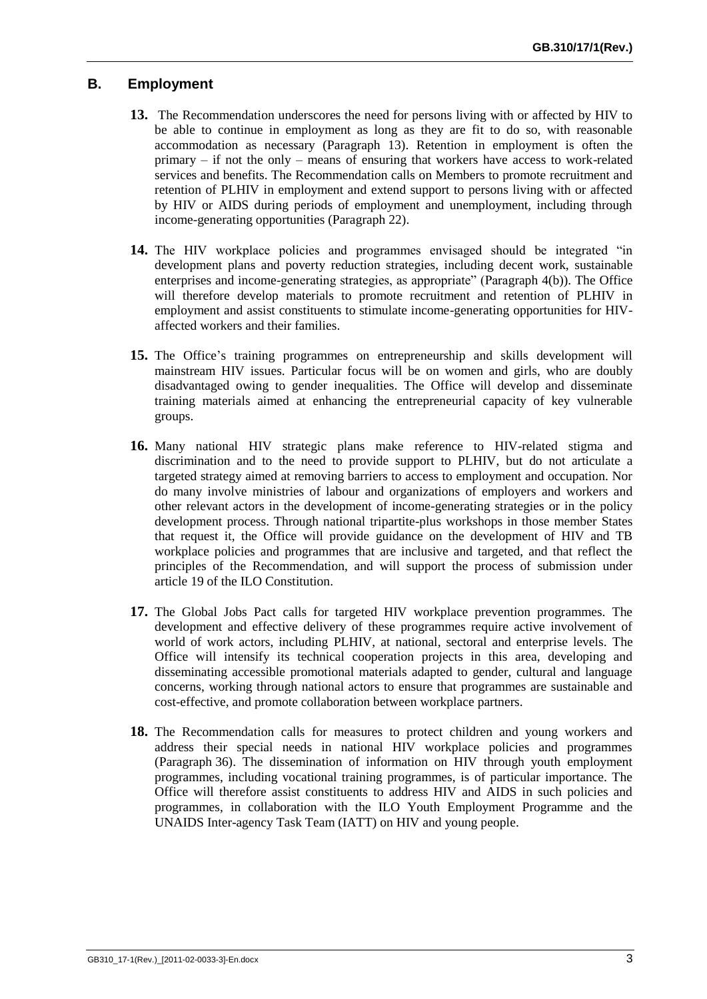## **B. Employment**

- **13.** The Recommendation underscores the need for persons living with or affected by HIV to be able to continue in employment as long as they are fit to do so, with reasonable accommodation as necessary (Paragraph 13). Retention in employment is often the primary – if not the only – means of ensuring that workers have access to work-related services and benefits. The Recommendation calls on Members to promote recruitment and retention of PLHIV in employment and extend support to persons living with or affected by HIV or AIDS during periods of employment and unemployment, including through income-generating opportunities (Paragraph 22).
- **14.** The HIV workplace policies and programmes envisaged should be integrated "in development plans and poverty reduction strategies, including decent work, sustainable enterprises and income-generating strategies, as appropriate" (Paragraph 4(b)). The Office will therefore develop materials to promote recruitment and retention of PLHIV in employment and assist constituents to stimulate income-generating opportunities for HIVaffected workers and their families.
- **15.** The Office's training programmes on entrepreneurship and skills development will mainstream HIV issues. Particular focus will be on women and girls, who are doubly disadvantaged owing to gender inequalities. The Office will develop and disseminate training materials aimed at enhancing the entrepreneurial capacity of key vulnerable groups.
- **16.** Many national HIV strategic plans make reference to HIV-related stigma and discrimination and to the need to provide support to PLHIV, but do not articulate a targeted strategy aimed at removing barriers to access to employment and occupation. Nor do many involve ministries of labour and organizations of employers and workers and other relevant actors in the development of income-generating strategies or in the policy development process. Through national tripartite-plus workshops in those member States that request it, the Office will provide guidance on the development of HIV and TB workplace policies and programmes that are inclusive and targeted, and that reflect the principles of the Recommendation, and will support the process of submission under article 19 of the ILO Constitution.
- **17.** The Global Jobs Pact calls for targeted HIV workplace prevention programmes. The development and effective delivery of these programmes require active involvement of world of work actors, including PLHIV, at national, sectoral and enterprise levels. The Office will intensify its technical cooperation projects in this area, developing and disseminating accessible promotional materials adapted to gender, cultural and language concerns, working through national actors to ensure that programmes are sustainable and cost-effective, and promote collaboration between workplace partners.
- **18.** The Recommendation calls for measures to protect children and young workers and address their special needs in national HIV workplace policies and programmes (Paragraph 36). The dissemination of information on HIV through youth employment programmes, including vocational training programmes, is of particular importance. The Office will therefore assist constituents to address HIV and AIDS in such policies and programmes, in collaboration with the ILO Youth Employment Programme and the UNAIDS Inter-agency Task Team (IATT) on HIV and young people.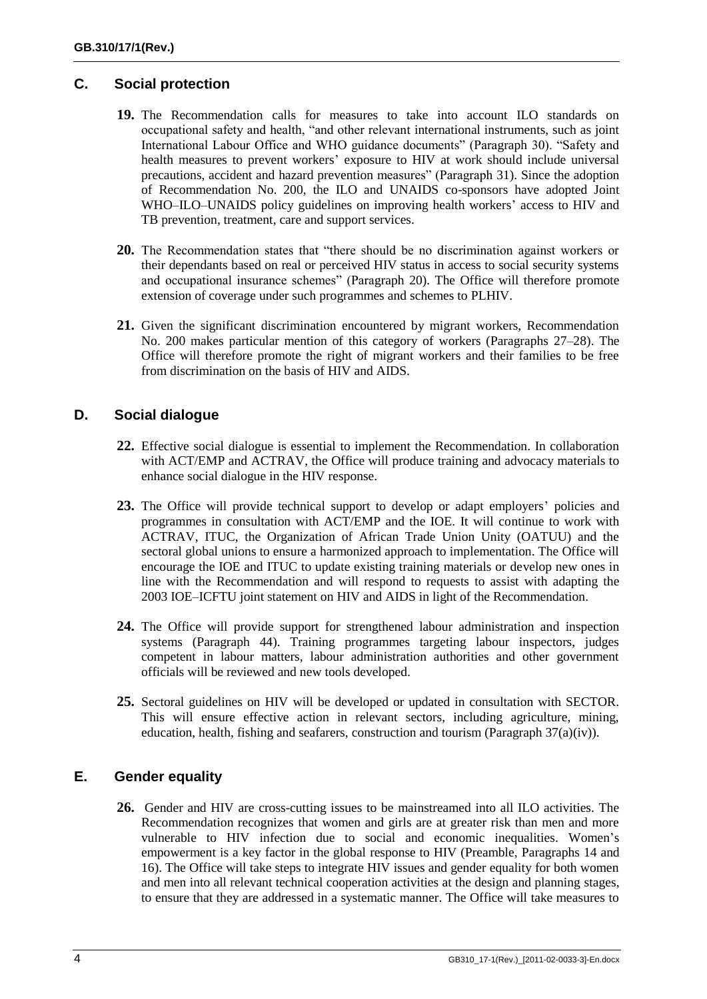## **C. Social protection**

- **19.** The Recommendation calls for measures to take into account ILO standards on occupational safety and health, "and other relevant international instruments, such as joint International Labour Office and WHO guidance documents" (Paragraph 30). "Safety and health measures to prevent workers' exposure to HIV at work should include universal precautions, accident and hazard prevention measures" (Paragraph 31). Since the adoption of Recommendation No. 200, the ILO and UNAIDS co-sponsors have adopted Joint WHO–ILO–UNAIDS policy guidelines on improving health workers' access to HIV and TB prevention, treatment, care and support services.
- **20.** The Recommendation states that "there should be no discrimination against workers or their dependants based on real or perceived HIV status in access to social security systems and occupational insurance schemes" (Paragraph 20). The Office will therefore promote extension of coverage under such programmes and schemes to PLHIV.
- **21.** Given the significant discrimination encountered by migrant workers, Recommendation No. 200 makes particular mention of this category of workers (Paragraphs 27–28). The Office will therefore promote the right of migrant workers and their families to be free from discrimination on the basis of HIV and AIDS.

## **D. Social dialogue**

- **22.** Effective social dialogue is essential to implement the Recommendation. In collaboration with ACT/EMP and ACTRAV, the Office will produce training and advocacy materials to enhance social dialogue in the HIV response.
- **23.** The Office will provide technical support to develop or adapt employers' policies and programmes in consultation with ACT/EMP and the IOE. It will continue to work with ACTRAV, ITUC, the Organization of African Trade Union Unity (OATUU) and the sectoral global unions to ensure a harmonized approach to implementation. The Office will encourage the IOE and ITUC to update existing training materials or develop new ones in line with the Recommendation and will respond to requests to assist with adapting the 2003 IOE–ICFTU joint statement on HIV and AIDS in light of the Recommendation.
- **24.** The Office will provide support for strengthened labour administration and inspection systems (Paragraph 44). Training programmes targeting labour inspectors, judges competent in labour matters, labour administration authorities and other government officials will be reviewed and new tools developed.
- **25.** Sectoral guidelines on HIV will be developed or updated in consultation with SECTOR. This will ensure effective action in relevant sectors, including agriculture, mining, education, health, fishing and seafarers, construction and tourism (Paragraph 37(a)(iv)).

### **E. Gender equality**

**26.** Gender and HIV are cross-cutting issues to be mainstreamed into all ILO activities. The Recommendation recognizes that women and girls are at greater risk than men and more vulnerable to HIV infection due to social and economic inequalities. Women's empowerment is a key factor in the global response to HIV (Preamble, Paragraphs 14 and 16). The Office will take steps to integrate HIV issues and gender equality for both women and men into all relevant technical cooperation activities at the design and planning stages, to ensure that they are addressed in a systematic manner. The Office will take measures to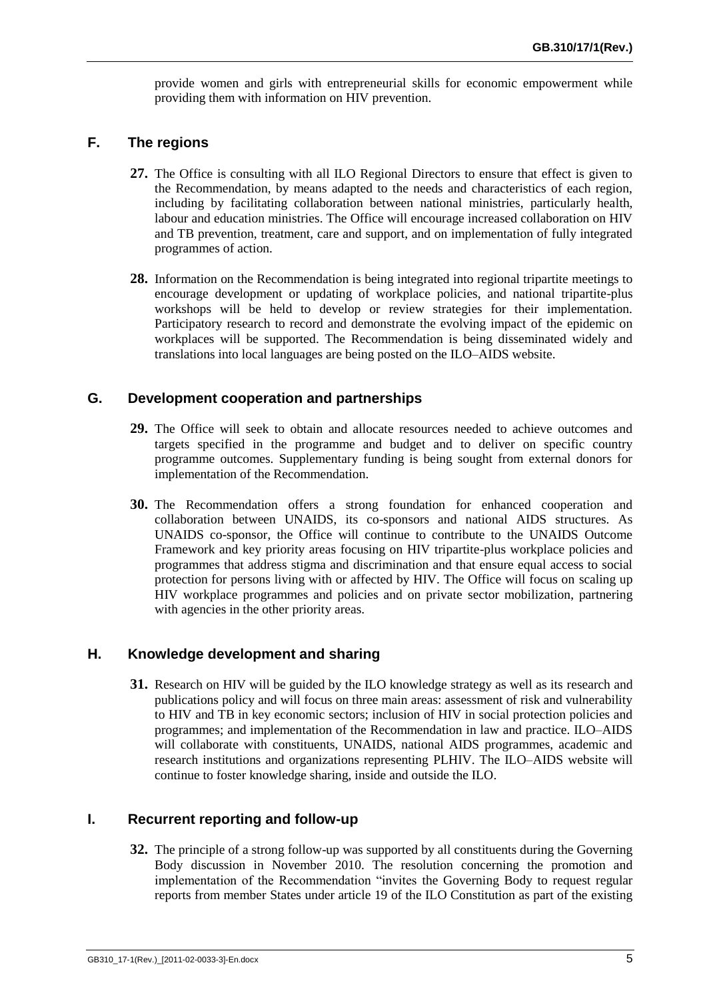provide women and girls with entrepreneurial skills for economic empowerment while providing them with information on HIV prevention.

#### **F. The regions**

- **27.** The Office is consulting with all ILO Regional Directors to ensure that effect is given to the Recommendation, by means adapted to the needs and characteristics of each region, including by facilitating collaboration between national ministries, particularly health, labour and education ministries. The Office will encourage increased collaboration on HIV and TB prevention, treatment, care and support, and on implementation of fully integrated programmes of action.
- **28.** Information on the Recommendation is being integrated into regional tripartite meetings to encourage development or updating of workplace policies, and national tripartite-plus workshops will be held to develop or review strategies for their implementation. Participatory research to record and demonstrate the evolving impact of the epidemic on workplaces will be supported. The Recommendation is being disseminated widely and translations into local languages are being posted on the ILO–AIDS website.

#### **G. Development cooperation and partnerships**

- **29.** The Office will seek to obtain and allocate resources needed to achieve outcomes and targets specified in the programme and budget and to deliver on specific country programme outcomes. Supplementary funding is being sought from external donors for implementation of the Recommendation.
- **30.** The Recommendation offers a strong foundation for enhanced cooperation and collaboration between UNAIDS, its co-sponsors and national AIDS structures. As UNAIDS co-sponsor, the Office will continue to contribute to the UNAIDS Outcome Framework and key priority areas focusing on HIV tripartite-plus workplace policies and programmes that address stigma and discrimination and that ensure equal access to social protection for persons living with or affected by HIV. The Office will focus on scaling up HIV workplace programmes and policies and on private sector mobilization, partnering with agencies in the other priority areas.

### **H. Knowledge development and sharing**

**31.** Research on HIV will be guided by the ILO knowledge strategy as well as its research and publications policy and will focus on three main areas: assessment of risk and vulnerability to HIV and TB in key economic sectors; inclusion of HIV in social protection policies and programmes; and implementation of the Recommendation in law and practice. ILO–AIDS will collaborate with constituents, UNAIDS, national AIDS programmes, academic and research institutions and organizations representing PLHIV. The ILO–AIDS website will continue to foster knowledge sharing, inside and outside the ILO.

#### **I. Recurrent reporting and follow-up**

**32.** The principle of a strong follow-up was supported by all constituents during the Governing Body discussion in November 2010. The resolution concerning the promotion and implementation of the Recommendation "invites the Governing Body to request regular reports from member States under article 19 of the ILO Constitution as part of the existing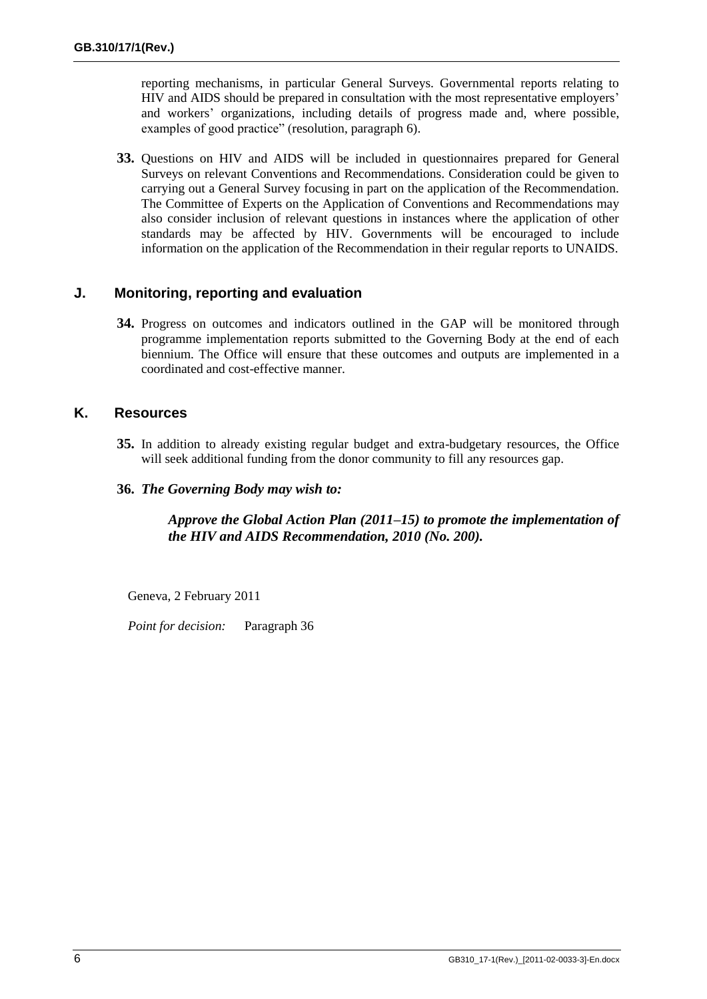reporting mechanisms, in particular General Surveys. Governmental reports relating to HIV and AIDS should be prepared in consultation with the most representative employers' and workers' organizations, including details of progress made and, where possible, examples of good practice" (resolution, paragraph 6).

**33.** Questions on HIV and AIDS will be included in questionnaires prepared for General Surveys on relevant Conventions and Recommendations. Consideration could be given to carrying out a General Survey focusing in part on the application of the Recommendation. The Committee of Experts on the Application of Conventions and Recommendations may also consider inclusion of relevant questions in instances where the application of other standards may be affected by HIV. Governments will be encouraged to include information on the application of the Recommendation in their regular reports to UNAIDS.

#### **J. Monitoring, reporting and evaluation**

**34.** Progress on outcomes and indicators outlined in the GAP will be monitored through programme implementation reports submitted to the Governing Body at the end of each biennium. The Office will ensure that these outcomes and outputs are implemented in a coordinated and cost-effective manner.

### **K. Resources**

- **35.** In addition to already existing regular budget and extra-budgetary resources, the Office will seek additional funding from the donor community to fill any resources gap.
- **36.** *The Governing Body may wish to:*

#### *Approve the Global Action Plan (2011–15) to promote the implementation of the HIV and AIDS Recommendation, 2010 (No. 200).*

Geneva, 2 February 2011

*Point for decision:* Paragraph 36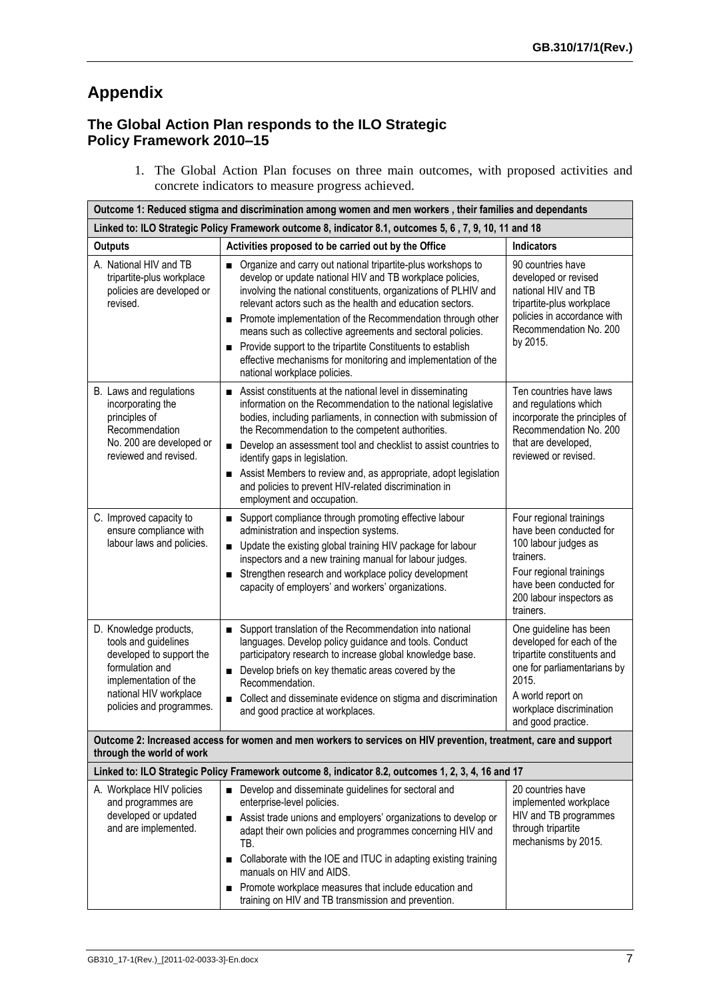# **Appendix**

## **The Global Action Plan responds to the ILO Strategic Policy Framework 2010–15**

1. The Global Action Plan focuses on three main outcomes, with proposed activities and concrete indicators to measure progress achieved.

| Outcome 1: Reduced stigma and discrimination among women and men workers, their families and dependants                                                                      |                                                                                                                                                                                                                                                                                                                                                                                                                                                                                                                                                       |                                                                                                                                                                                                   |  |  |
|------------------------------------------------------------------------------------------------------------------------------------------------------------------------------|-------------------------------------------------------------------------------------------------------------------------------------------------------------------------------------------------------------------------------------------------------------------------------------------------------------------------------------------------------------------------------------------------------------------------------------------------------------------------------------------------------------------------------------------------------|---------------------------------------------------------------------------------------------------------------------------------------------------------------------------------------------------|--|--|
| Linked to: ILO Strategic Policy Framework outcome 8, indicator 8.1, outcomes 5, 6, 7, 9, 10, 11 and 18                                                                       |                                                                                                                                                                                                                                                                                                                                                                                                                                                                                                                                                       |                                                                                                                                                                                                   |  |  |
| <b>Outputs</b>                                                                                                                                                               | Activities proposed to be carried out by the Office                                                                                                                                                                                                                                                                                                                                                                                                                                                                                                   | <b>Indicators</b>                                                                                                                                                                                 |  |  |
| A. National HIV and TB<br>tripartite-plus workplace<br>policies are developed or<br>revised.                                                                                 | Organize and carry out national tripartite-plus workshops to<br>develop or update national HIV and TB workplace policies,<br>involving the national constituents, organizations of PLHIV and<br>relevant actors such as the health and education sectors.<br>Promote implementation of the Recommendation through other<br>means such as collective agreements and sectoral policies.<br>Provide support to the tripartite Constituents to establish<br>effective mechanisms for monitoring and implementation of the<br>national workplace policies. | 90 countries have<br>developed or revised<br>national HIV and TB<br>tripartite-plus workplace<br>policies in accordance with<br>Recommendation No. 200<br>by 2015.                                |  |  |
| B. Laws and regulations<br>incorporating the<br>principles of<br>Recommendation<br>No. 200 are developed or<br>reviewed and revised.                                         | Assist constituents at the national level in disseminating<br>information on the Recommendation to the national legislative<br>bodies, including parliaments, in connection with submission of<br>the Recommendation to the competent authorities.<br>Develop an assessment tool and checklist to assist countries to<br>$\blacksquare$<br>identify gaps in legislation.<br>Assist Members to review and, as appropriate, adopt legislation<br>п<br>and policies to prevent HIV-related discrimination in<br>employment and occupation.               | Ten countries have laws<br>and regulations which<br>incorporate the principles of<br>Recommendation No. 200<br>that are developed,<br>reviewed or revised.                                        |  |  |
| C. Improved capacity to<br>ensure compliance with<br>labour laws and policies.                                                                                               | ■ Support compliance through promoting effective labour<br>administration and inspection systems.<br>Update the existing global training HIV package for labour<br>inspectors and a new training manual for labour judges.<br>Strengthen research and workplace policy development<br>capacity of employers' and workers' organizations.                                                                                                                                                                                                              | Four regional trainings<br>have been conducted for<br>100 labour judges as<br>trainers.<br>Four regional trainings<br>have been conducted for<br>200 labour inspectors as<br>trainers.            |  |  |
| D. Knowledge products,<br>tools and guidelines<br>developed to support the<br>formulation and<br>implementation of the<br>national HIV workplace<br>policies and programmes. | Support translation of the Recommendation into national<br>$\blacksquare$<br>languages. Develop policy guidance and tools. Conduct<br>participatory research to increase global knowledge base.<br>Develop briefs on key thematic areas covered by the<br>Recommendation.<br>Collect and disseminate evidence on stigma and discrimination<br>$\blacksquare$<br>and good practice at workplaces.                                                                                                                                                      | One guideline has been<br>developed for each of the<br>tripartite constituents and<br>one for parliamentarians by<br>2015.<br>A world report on<br>workplace discrimination<br>and good practice. |  |  |
| Outcome 2: Increased access for women and men workers to services on HIV prevention, treatment, care and support<br>through the world of work                                |                                                                                                                                                                                                                                                                                                                                                                                                                                                                                                                                                       |                                                                                                                                                                                                   |  |  |
|                                                                                                                                                                              | Linked to: ILO Strategic Policy Framework outcome 8, indicator 8.2, outcomes 1, 2, 3, 4, 16 and 17                                                                                                                                                                                                                                                                                                                                                                                                                                                    |                                                                                                                                                                                                   |  |  |
| A. Workplace HIV policies<br>and programmes are<br>developed or updated<br>and are implemented.                                                                              | Develop and disseminate guidelines for sectoral and<br>enterprise-level policies.<br>Assist trade unions and employers' organizations to develop or<br>adapt their own policies and programmes concerning HIV and<br>TB.<br>■ Collaborate with the IOE and ITUC in adapting existing training<br>manuals on HIV and AIDS.<br>Promote workplace measures that include education and<br>training on HIV and TB transmission and prevention.                                                                                                             | 20 countries have<br>implemented workplace<br>HIV and TB programmes<br>through tripartite<br>mechanisms by 2015.                                                                                  |  |  |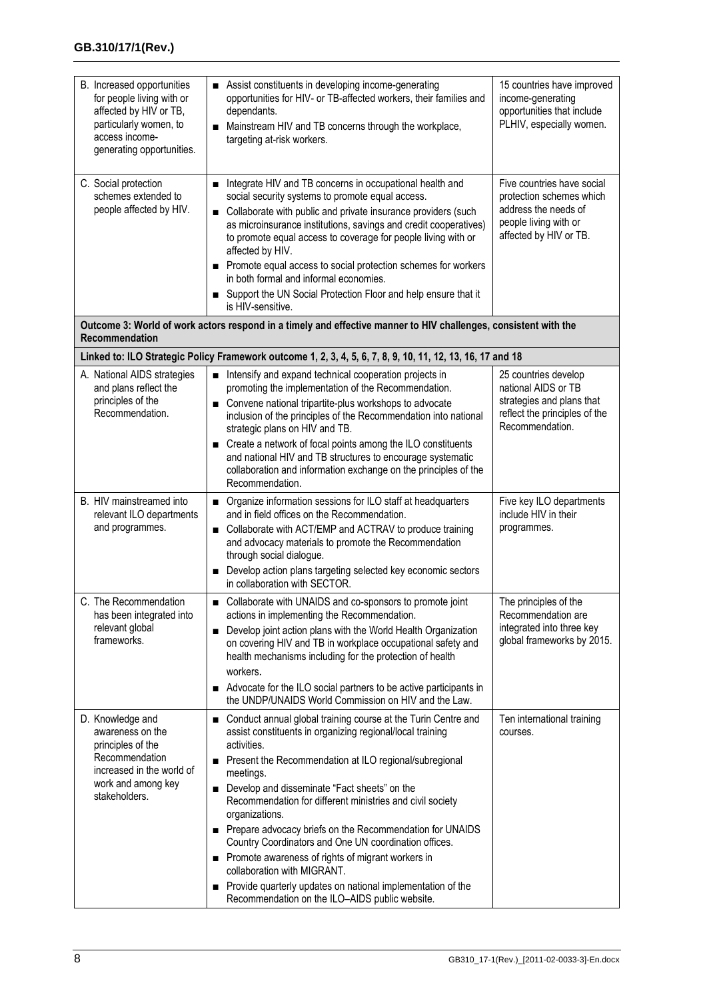| B. Increased opportunities<br>for people living with or<br>affected by HIV or TB,<br>particularly women, to<br>access income-<br>generating opportunities. | Assist constituents in developing income-generating<br>opportunities for HIV- or TB-affected workers, their families and<br>dependants.<br>Mainstream HIV and TB concerns through the workplace,<br>$\blacksquare$<br>targeting at-risk workers.                                                                                                                                                                                                                                                                                                                                                                                                                                              | 15 countries have improved<br>income-generating<br>opportunities that include<br>PLHIV, especially women.                         |  |  |
|------------------------------------------------------------------------------------------------------------------------------------------------------------|-----------------------------------------------------------------------------------------------------------------------------------------------------------------------------------------------------------------------------------------------------------------------------------------------------------------------------------------------------------------------------------------------------------------------------------------------------------------------------------------------------------------------------------------------------------------------------------------------------------------------------------------------------------------------------------------------|-----------------------------------------------------------------------------------------------------------------------------------|--|--|
| C. Social protection<br>schemes extended to<br>people affected by HIV.                                                                                     | Integrate HIV and TB concerns in occupational health and<br>п<br>social security systems to promote equal access.<br>Collaborate with public and private insurance providers (such<br>$\blacksquare$<br>as microinsurance institutions, savings and credit cooperatives)<br>to promote equal access to coverage for people living with or<br>affected by HIV.<br>Promote equal access to social protection schemes for workers<br>in both formal and informal economies.<br>Support the UN Social Protection Floor and help ensure that it<br>п<br>is HIV-sensitive.                                                                                                                          | Five countries have social<br>protection schemes which<br>address the needs of<br>people living with or<br>affected by HIV or TB. |  |  |
| Outcome 3: World of work actors respond in a timely and effective manner to HIV challenges, consistent with the<br>Recommendation                          |                                                                                                                                                                                                                                                                                                                                                                                                                                                                                                                                                                                                                                                                                               |                                                                                                                                   |  |  |
|                                                                                                                                                            | Linked to: ILO Strategic Policy Framework outcome 1, 2, 3, 4, 5, 6, 7, 8, 9, 10, 11, 12, 13, 16, 17 and 18                                                                                                                                                                                                                                                                                                                                                                                                                                                                                                                                                                                    |                                                                                                                                   |  |  |
| A. National AIDS strategies<br>and plans reflect the<br>principles of the<br>Recommendation.                                                               | Intensify and expand technical cooperation projects in<br>promoting the implementation of the Recommendation.<br>Convene national tripartite-plus workshops to advocate<br>inclusion of the principles of the Recommendation into national<br>strategic plans on HIV and TB.<br>Create a network of focal points among the ILO constituents<br>and national HIV and TB structures to encourage systematic<br>collaboration and information exchange on the principles of the<br>Recommendation.                                                                                                                                                                                               | 25 countries develop<br>national AIDS or TB<br>strategies and plans that<br>reflect the principles of the<br>Recommendation.      |  |  |
| B. HIV mainstreamed into<br>relevant ILO departments<br>and programmes.                                                                                    | Organize information sessions for ILO staff at headquarters<br>п<br>and in field offices on the Recommendation.<br>Collaborate with ACT/EMP and ACTRAV to produce training<br>$\blacksquare$<br>and advocacy materials to promote the Recommendation<br>through social dialogue.<br>Develop action plans targeting selected key economic sectors<br>in collaboration with SECTOR.                                                                                                                                                                                                                                                                                                             | Five key ILO departments<br>include HIV in their<br>programmes.                                                                   |  |  |
| C. The Recommendation<br>has been integrated into<br>relevant global<br>frameworks.                                                                        | Collaborate with UNAIDS and co-sponsors to promote joint<br>actions in implementing the Recommendation.<br>Develop joint action plans with the World Health Organization<br>$\blacksquare$<br>on covering HIV and TB in workplace occupational safety and<br>health mechanisms including for the protection of health<br>workers.<br>Advocate for the ILO social partners to be active participants in<br>the UNDP/UNAIDS World Commission on HIV and the Law.                                                                                                                                                                                                                                | The principles of the<br>Recommendation are<br>integrated into three key<br>global frameworks by 2015.                            |  |  |
| D. Knowledge and<br>awareness on the<br>principles of the<br>Recommendation<br>increased in the world of<br>work and among key<br>stakeholders.            | Conduct annual global training course at the Turin Centre and<br>assist constituents in organizing regional/local training<br>activities.<br>Present the Recommendation at ILO regional/subregional<br>п<br>meetings.<br>Develop and disseminate "Fact sheets" on the<br>п<br>Recommendation for different ministries and civil society<br>organizations.<br>Prepare advocacy briefs on the Recommendation for UNAIDS<br>Country Coordinators and One UN coordination offices.<br>Promote awareness of rights of migrant workers in<br>п<br>collaboration with MIGRANT.<br>Provide quarterly updates on national implementation of the<br>п<br>Recommendation on the ILO-AIDS public website. | Ten international training<br>courses.                                                                                            |  |  |